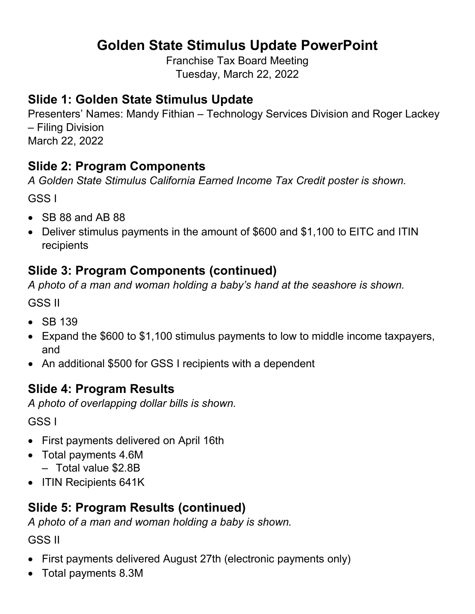# **Golden State Stimulus Update PowerPoint**

Franchise Tax Board Meeting Tuesday, March 22, 2022

#### **Slide 1: Golden State Stimulus Update**

Presenters' Names: Mandy Fithian – Technology Services Division and Roger Lackey – Filing Division March 22, 2022

### **Slide 2: Program Components**

*A Golden State Stimulus California Earned Income Tax Credit poster is shown.*

GSS I

- SB 88 and AB 88
- Deliver stimulus payments in the amount of \$600 and \$1,100 to EITC and ITIN recipients

## **Slide 3: Program Components (continued)**

*A photo of a man and woman holding a baby's hand at the seashore is shown.*

GSS II

- SB 139
- Expand the \$600 to \$1,100 stimulus payments to low to middle income taxpayers, and
- An additional \$500 for GSS I recipients with a dependent

## **Slide 4: Program Results**

*A photo of overlapping dollar bills is shown.*

GSS I

- First payments delivered on April 16th
- Total payments 4.6M
	- Total value \$2.8B
- ITIN Recipients 641K

# **Slide 5: Program Results (continued)**

*A photo of a man and woman holding a baby is shown.*

GSS II

- First payments delivered August 27th (electronic payments only)
- Total payments 8.3M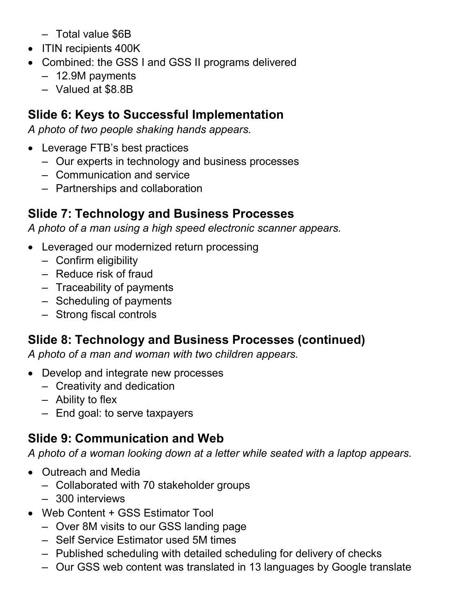- Total value \$6B
- ITIN recipients 400K
- Combined: the GSS I and GSS II programs delivered
	- 12.9M payments
	- Valued at \$8.8B

#### **Slide 6: Keys to Successful Implementation**

*A photo of two people shaking hands appears.*

- Leverage FTB's best practices
	- Our experts in technology and business processes
	- Communication and service
	- Partnerships and collaboration

### **Slide 7: Technology and Business Processes**

*A photo of a man using a high speed electronic scanner appears.*

- Leveraged our modernized return processing
	- Confirm eligibility
	- Reduce risk of fraud
	- Traceability of payments
	- Scheduling of payments
	- Strong fiscal controls

# **Slide 8: Technology and Business Processes (continued)**

*A photo of a man and woman with two children appears.*

- Develop and integrate new processes
	- Creativity and dedication
	- Ability to flex
	- End goal: to serve taxpayers

## **Slide 9: Communication and Web**

*A photo of a woman looking down at a letter while seated with a laptop appears.*

- Outreach and Media
	- Collaborated with 70 stakeholder groups
	- 300 interviews
- Web Content + GSS Estimator Tool
	- Over 8M visits to our GSS landing page
	- Self Service Estimator used 5M times
	- Published scheduling with detailed scheduling for delivery of checks
	- Our GSS web content was translated in 13 languages by Google translate